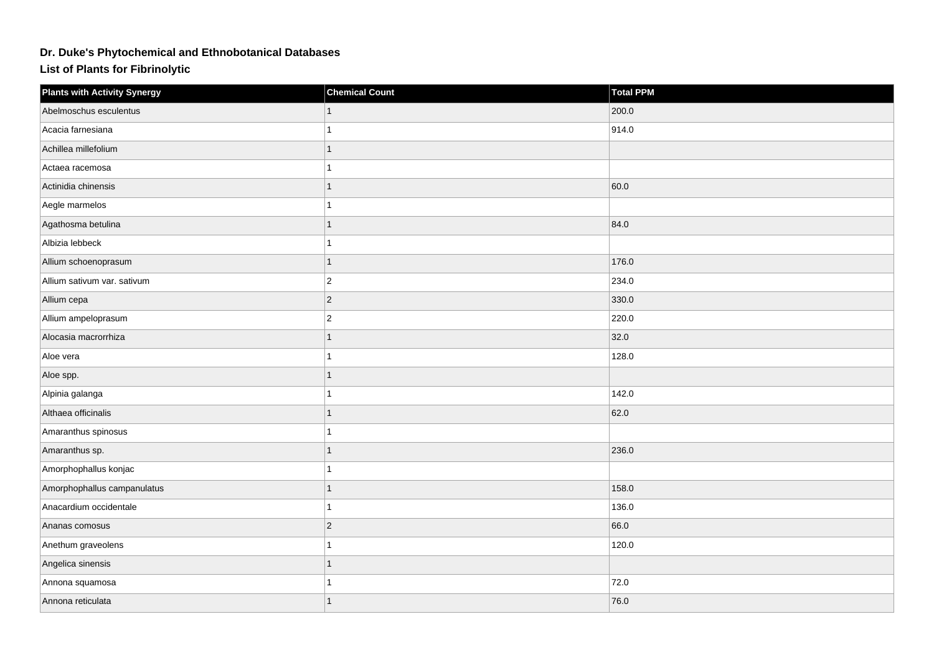## **Dr. Duke's Phytochemical and Ethnobotanical Databases**

**List of Plants for Fibrinolytic**

| <b>Plants with Activity Synergy</b> | <b>Chemical Count</b> | <b>Total PPM</b> |
|-------------------------------------|-----------------------|------------------|
| Abelmoschus esculentus              |                       | 200.0            |
| Acacia farnesiana                   |                       | 914.0            |
| Achillea millefolium                |                       |                  |
| Actaea racemosa                     |                       |                  |
| Actinidia chinensis                 |                       | 60.0             |
| Aegle marmelos                      |                       |                  |
| Agathosma betulina                  |                       | 84.0             |
| Albizia lebbeck                     |                       |                  |
| Allium schoenoprasum                |                       | 176.0            |
| Allium sativum var. sativum         | $\overline{c}$        | 234.0            |
| Allium cepa                         | $ 2\rangle$           | 330.0            |
| Allium ampeloprasum                 | $ 2\rangle$           | 220.0            |
| Alocasia macrorrhiza                |                       | 32.0             |
| Aloe vera                           |                       | 128.0            |
| Aloe spp.                           |                       |                  |
| Alpinia galanga                     |                       | 142.0            |
| Althaea officinalis                 |                       | 62.0             |
| Amaranthus spinosus                 |                       |                  |
| Amaranthus sp.                      |                       | 236.0            |
| Amorphophallus konjac               |                       |                  |
| Amorphophallus campanulatus         |                       | 158.0            |
| Anacardium occidentale              |                       | 136.0            |
| Ananas comosus                      | $ 2\rangle$           | 66.0             |
| Anethum graveolens                  |                       | 120.0            |
| Angelica sinensis                   |                       |                  |
| Annona squamosa                     |                       | 72.0             |
| Annona reticulata                   |                       | 76.0             |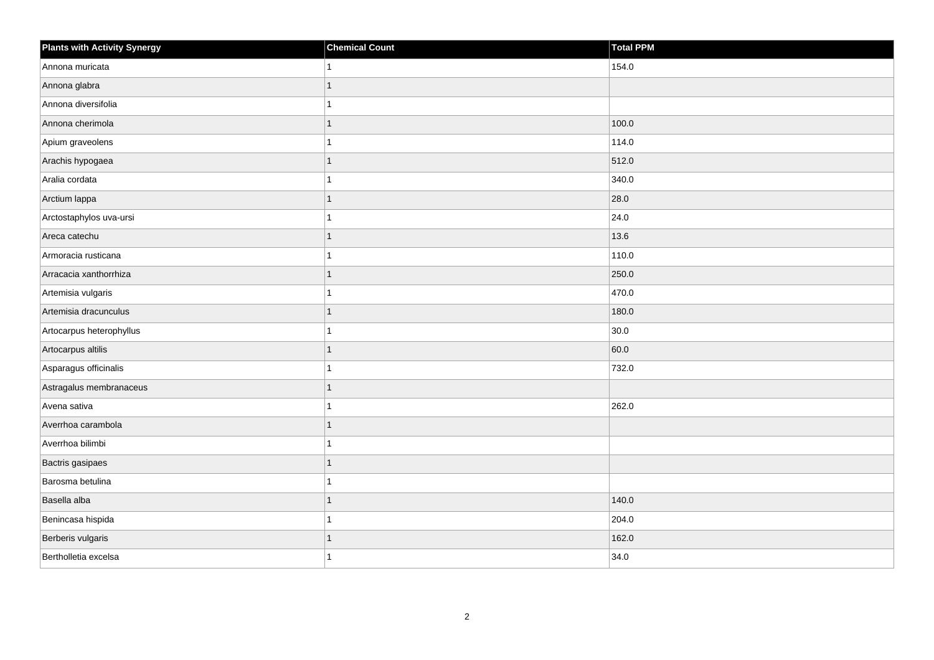| <b>Plants with Activity Synergy</b> | <b>Chemical Count</b> | <b>Total PPM</b> |
|-------------------------------------|-----------------------|------------------|
| Annona muricata                     | 1                     | 154.0            |
| Annona glabra                       | 1                     |                  |
| Annona diversifolia                 | 1                     |                  |
| Annona cherimola                    | $\mathbf{1}$          | 100.0            |
| Apium graveolens                    | 1                     | 114.0            |
| Arachis hypogaea                    | $\mathbf{1}$          | 512.0            |
| Aralia cordata                      | 1                     | 340.0            |
| Arctium lappa                       | 1                     | 28.0             |
| Arctostaphylos uva-ursi             | 1                     | 24.0             |
| Areca catechu                       | $\mathbf{1}$          | 13.6             |
| Armoracia rusticana                 | 1                     | 110.0            |
| Arracacia xanthorrhiza              | $\mathbf{1}$          | 250.0            |
| Artemisia vulgaris                  | 1                     | 470.0            |
| Artemisia dracunculus               | $\mathbf{1}$          | 180.0            |
| Artocarpus heterophyllus            | $\mathbf{1}$          | 30.0             |
| Artocarpus altilis                  | $\mathbf{1}$          | 60.0             |
| Asparagus officinalis               | 1                     | 732.0            |
| Astragalus membranaceus             | $\mathbf{1}$          |                  |
| Avena sativa                        | $\mathbf{1}$          | 262.0            |
| Averrhoa carambola                  | 1                     |                  |
| Averrhoa bilimbi                    | 1                     |                  |
| Bactris gasipaes                    | $\mathbf{1}$          |                  |
| Barosma betulina                    | 1                     |                  |
| Basella alba                        | $\mathbf{1}$          | 140.0            |
| Benincasa hispida                   | $\mathbf{1}$          | 204.0            |
| Berberis vulgaris                   | 1                     | 162.0            |
| Bertholletia excelsa                | 1                     | 34.0             |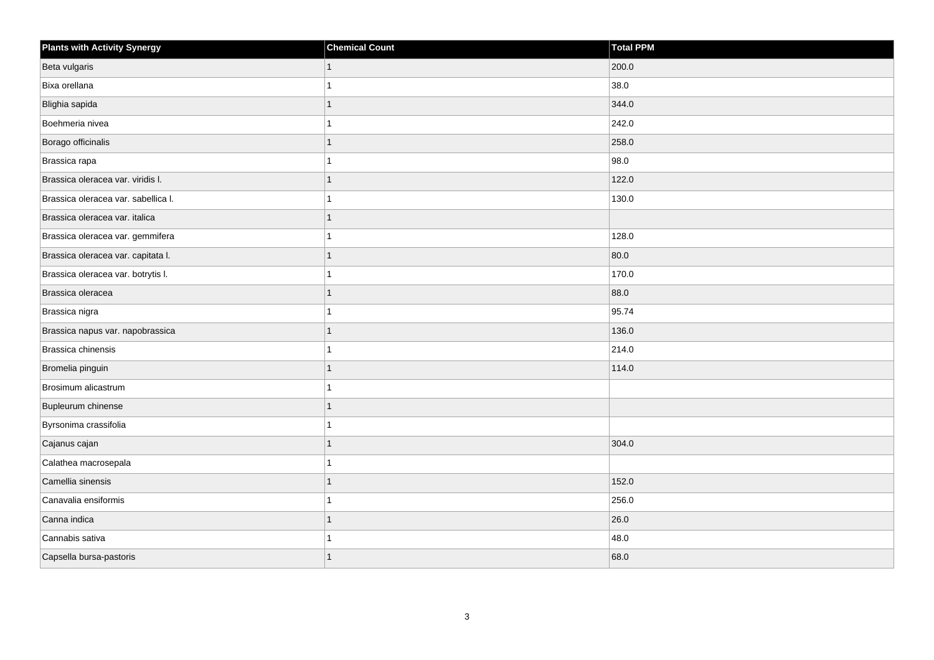| <b>Plants with Activity Synergy</b> | <b>Chemical Count</b> | <b>Total PPM</b> |
|-------------------------------------|-----------------------|------------------|
| Beta vulgaris                       | 1                     | 200.0            |
| Bixa orellana                       |                       | 38.0             |
| Blighia sapida                      |                       | 344.0            |
| Boehmeria nivea                     |                       | 242.0            |
| Borago officinalis                  |                       | 258.0            |
| Brassica rapa                       |                       | 98.0             |
| Brassica oleracea var. viridis I.   |                       | 122.0            |
| Brassica oleracea var. sabellica I. |                       | 130.0            |
| Brassica oleracea var. italica      |                       |                  |
| Brassica oleracea var. gemmifera    |                       | 128.0            |
| Brassica oleracea var. capitata I.  |                       | 80.0             |
| Brassica oleracea var. botrytis I.  |                       | 170.0            |
| Brassica oleracea                   |                       | 88.0             |
| Brassica nigra                      |                       | 95.74            |
| Brassica napus var. napobrassica    |                       | 136.0            |
| Brassica chinensis                  |                       | 214.0            |
| Bromelia pinguin                    |                       | 114.0            |
| Brosimum alicastrum                 |                       |                  |
| Bupleurum chinense                  |                       |                  |
| Byrsonima crassifolia               |                       |                  |
| Cajanus cajan                       |                       | 304.0            |
| Calathea macrosepala                |                       |                  |
| Camellia sinensis                   |                       | 152.0            |
| Canavalia ensiformis                |                       | 256.0            |
| Canna indica                        |                       | 26.0             |
| Cannabis sativa                     |                       | 48.0             |
| Capsella bursa-pastoris             |                       | 68.0             |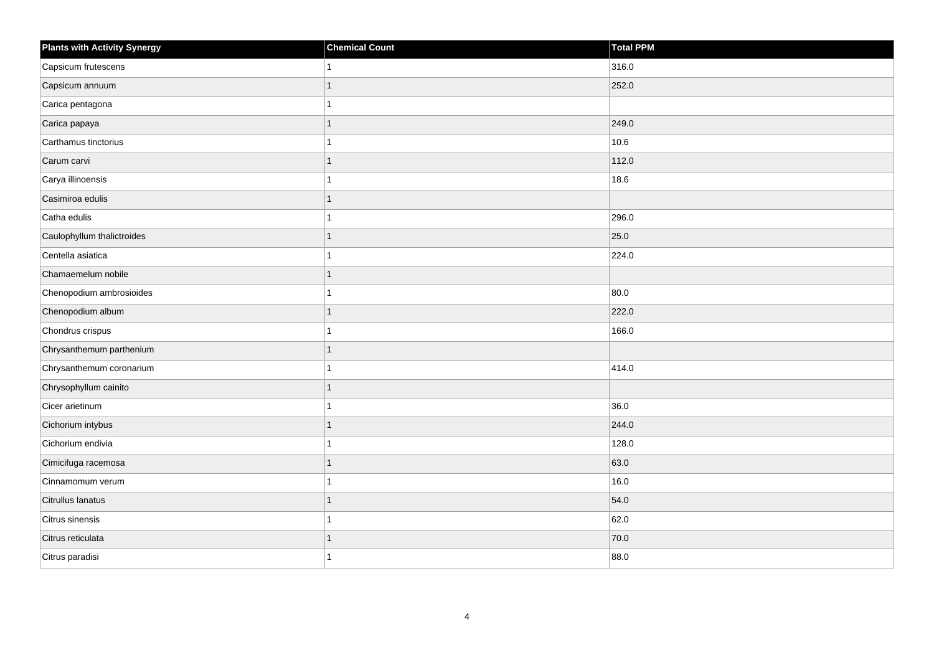| <b>Plants with Activity Synergy</b> | <b>Chemical Count</b> | Total PPM |
|-------------------------------------|-----------------------|-----------|
| Capsicum frutescens                 | 1                     | 316.0     |
| Capsicum annuum                     | 1                     | 252.0     |
| Carica pentagona                    | 1                     |           |
| Carica papaya                       | 1                     | 249.0     |
| Carthamus tinctorius                | 1                     | 10.6      |
| Carum carvi                         | $\mathbf{1}$          | 112.0     |
| Carya illinoensis                   | 1                     | 18.6      |
| Casimiroa edulis                    | 1                     |           |
| Catha edulis                        | 1                     | 296.0     |
| Caulophyllum thalictroides          | $\mathbf{1}$          | 25.0      |
| Centella asiatica                   | 1                     | 224.0     |
| Chamaemelum nobile                  | 1                     |           |
| Chenopodium ambrosioides            | $\overline{1}$        | 80.0      |
| Chenopodium album                   | $\mathbf{1}$          | 222.0     |
| Chondrus crispus                    | 1                     | 166.0     |
| Chrysanthemum parthenium            | 1                     |           |
| Chrysanthemum coronarium            | 1                     | 414.0     |
| Chrysophyllum cainito               | $\mathbf{1}$          |           |
| Cicer arietinum                     | $\overline{1}$        | 36.0      |
| Cichorium intybus                   | 1                     | 244.0     |
| Cichorium endivia                   | 1                     | 128.0     |
| Cimicifuga racemosa                 | 1                     | 63.0      |
| Cinnamomum verum                    | 1                     | 16.0      |
| Citrullus lanatus                   | 1                     | 54.0      |
| Citrus sinensis                     | $\mathbf{1}$          | 62.0      |
| Citrus reticulata                   | 1                     | 70.0      |
| Citrus paradisi                     | 1                     | 88.0      |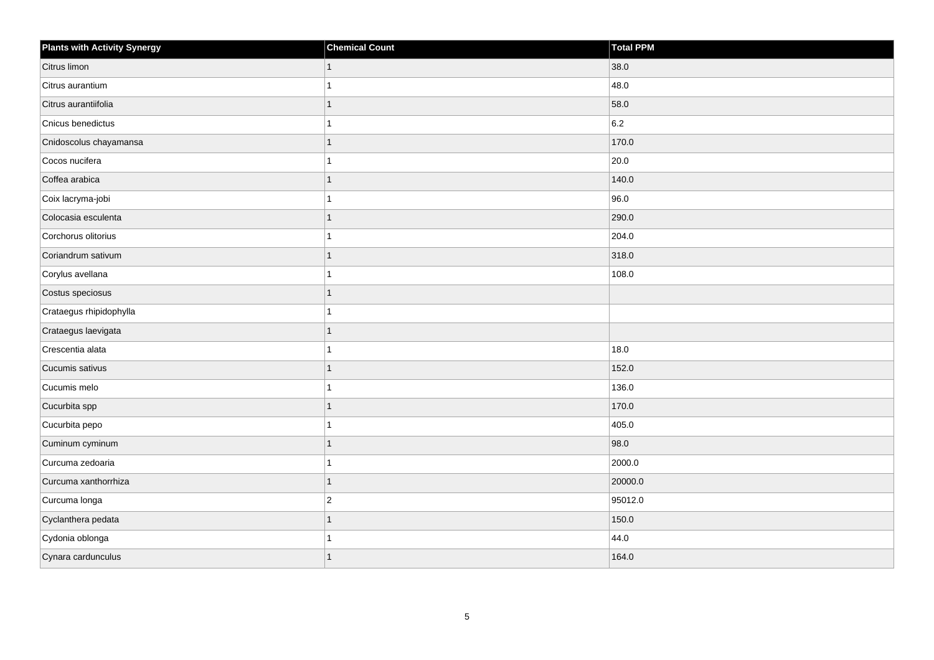| <b>Plants with Activity Synergy</b> | <b>Chemical Count</b> | Total PPM |
|-------------------------------------|-----------------------|-----------|
| Citrus limon                        | $\mathbf{1}$          | 38.0      |
| Citrus aurantium                    | 1                     | 48.0      |
| Citrus aurantiifolia                | 1                     | 58.0      |
| Cnicus benedictus                   | 1                     | 6.2       |
| Cnidoscolus chayamansa              | $\mathbf{1}$          | 170.0     |
| Cocos nucifera                      | 1                     | 20.0      |
| Coffea arabica                      | $\mathbf{1}$          | 140.0     |
| Coix lacryma-jobi                   | 1                     | 96.0      |
| Colocasia esculenta                 | $\mathbf{1}$          | 290.0     |
| Corchorus olitorius                 | 1                     | 204.0     |
| Coriandrum sativum                  | $\mathbf{1}$          | 318.0     |
| Corylus avellana                    | 1                     | 108.0     |
| Costus speciosus                    | $\mathbf{1}$          |           |
| Crataegus rhipidophylla             | 1                     |           |
| Crataegus laevigata                 | $\mathbf{1}$          |           |
| Crescentia alata                    | 1                     | 18.0      |
| Cucumis sativus                     | 1                     | 152.0     |
| Cucumis melo                        | 1                     | 136.0     |
| Cucurbita spp                       | $\mathbf{1}$          | 170.0     |
| Cucurbita pepo                      | 1                     | 405.0     |
| Cuminum cyminum                     | $\mathbf{1}$          | 98.0      |
| Curcuma zedoaria                    | 1                     | 2000.0    |
| Curcuma xanthorrhiza                | 1                     | 20000.0   |
| Curcuma longa                       | $ 2\rangle$           | 95012.0   |
| Cyclanthera pedata                  | $\mathbf{1}$          | 150.0     |
| Cydonia oblonga                     | 1                     | 44.0      |
| Cynara cardunculus                  | $\mathbf{1}$          | 164.0     |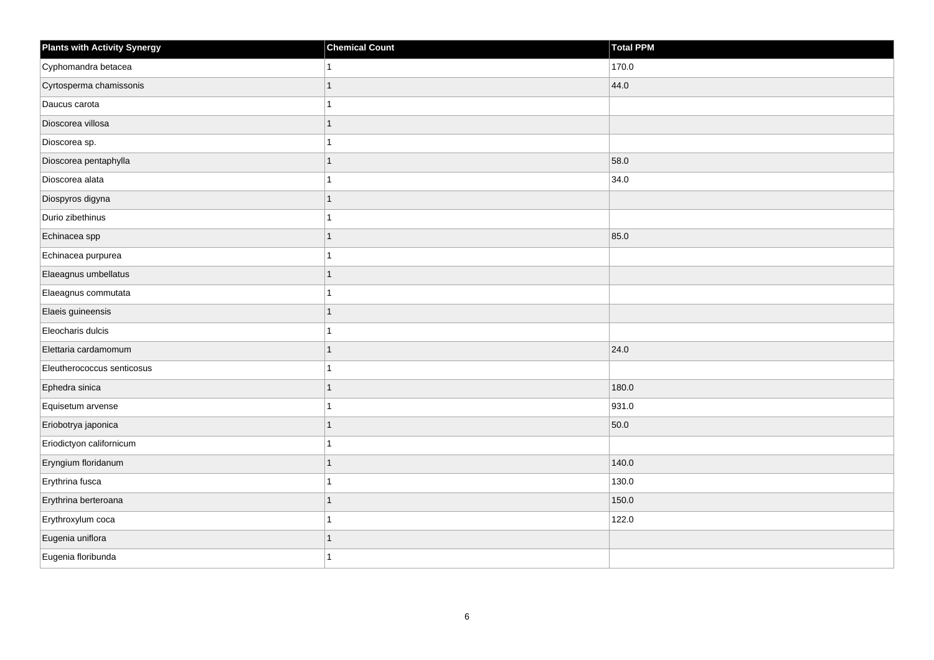| <b>Plants with Activity Synergy</b> | <b>Chemical Count</b> | Total PPM |
|-------------------------------------|-----------------------|-----------|
| Cyphomandra betacea                 |                       | 170.0     |
| Cyrtosperma chamissonis             |                       | 44.0      |
| Daucus carota                       |                       |           |
| Dioscorea villosa                   | 1                     |           |
| Dioscorea sp.                       |                       |           |
| Dioscorea pentaphylla               |                       | 58.0      |
| Dioscorea alata                     |                       | 34.0      |
| Diospyros digyna                    | 1                     |           |
| Durio zibethinus                    |                       |           |
| Echinacea spp                       | 1                     | 85.0      |
| Echinacea purpurea                  |                       |           |
| Elaeagnus umbellatus                |                       |           |
| Elaeagnus commutata                 |                       |           |
| Elaeis guineensis                   | 1                     |           |
| Eleocharis dulcis                   |                       |           |
| Elettaria cardamomum                | 1                     | 24.0      |
| Eleutherococcus senticosus          |                       |           |
| Ephedra sinica                      |                       | 180.0     |
| Equisetum arvense                   |                       | 931.0     |
| Eriobotrya japonica                 |                       | 50.0      |
| Eriodictyon californicum            |                       |           |
| Eryngium floridanum                 |                       | 140.0     |
| Erythrina fusca                     |                       | 130.0     |
| Erythrina berteroana                |                       | 150.0     |
| Erythroxylum coca                   |                       | 122.0     |
| Eugenia uniflora                    |                       |           |
| Eugenia floribunda                  |                       |           |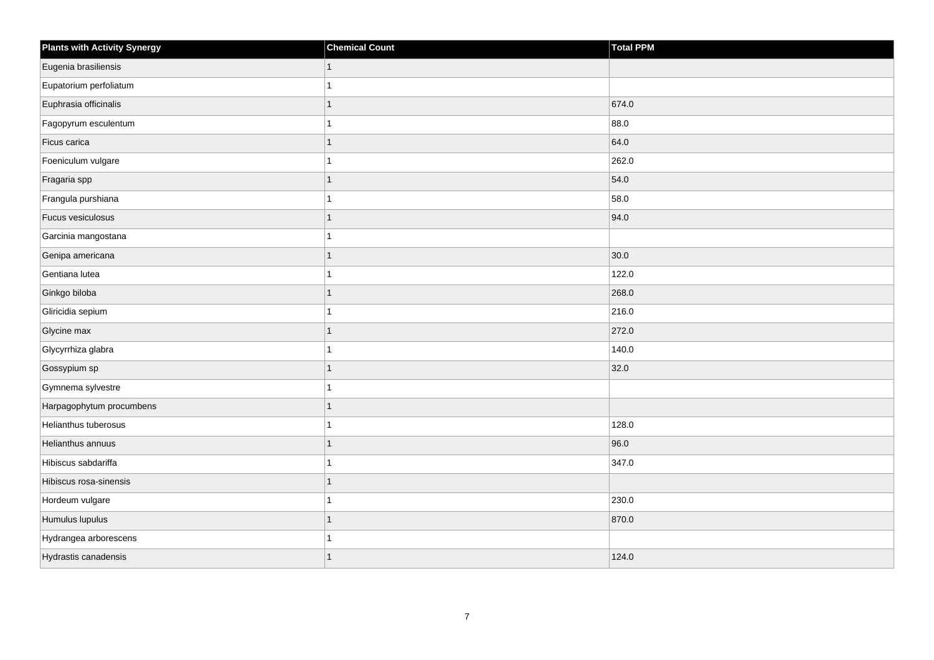| <b>Plants with Activity Synergy</b> | <b>Chemical Count</b> | <b>Total PPM</b> |
|-------------------------------------|-----------------------|------------------|
| Eugenia brasiliensis                |                       |                  |
| Eupatorium perfoliatum              |                       |                  |
| Euphrasia officinalis               |                       | 674.0            |
| Fagopyrum esculentum                |                       | 88.0             |
| Ficus carica                        |                       | 64.0             |
| Foeniculum vulgare                  |                       | 262.0            |
| Fragaria spp                        | 1                     | 54.0             |
| Frangula purshiana                  |                       | 58.0             |
| Fucus vesiculosus                   |                       | 94.0             |
| Garcinia mangostana                 |                       |                  |
| Genipa americana                    |                       | 30.0             |
| Gentiana lutea                      |                       | 122.0            |
| Ginkgo biloba                       | 1                     | 268.0            |
| Gliricidia sepium                   |                       | 216.0            |
| Glycine max                         |                       | 272.0            |
| Glycyrrhiza glabra                  |                       | 140.0            |
| Gossypium sp                        |                       | 32.0             |
| Gymnema sylvestre                   |                       |                  |
| Harpagophytum procumbens            | 1                     |                  |
| Helianthus tuberosus                |                       | 128.0            |
| Helianthus annuus                   |                       | 96.0             |
| Hibiscus sabdariffa                 |                       | 347.0            |
| Hibiscus rosa-sinensis              |                       |                  |
| Hordeum vulgare                     |                       | 230.0            |
| Humulus lupulus                     | 1                     | 870.0            |
| Hydrangea arborescens               |                       |                  |
| Hydrastis canadensis                | 1                     | 124.0            |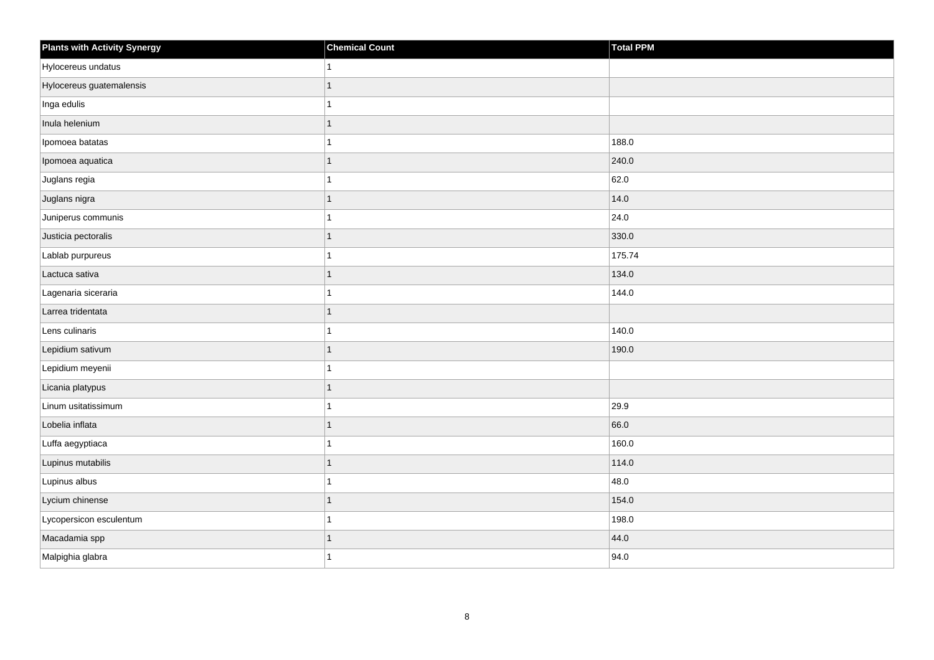| <b>Plants with Activity Synergy</b> | <b>Chemical Count</b> | Total PPM |
|-------------------------------------|-----------------------|-----------|
| Hylocereus undatus                  |                       |           |
| Hylocereus guatemalensis            |                       |           |
| Inga edulis                         |                       |           |
| Inula helenium                      |                       |           |
| Ipomoea batatas                     |                       | 188.0     |
| Ipomoea aquatica                    |                       | 240.0     |
| Juglans regia                       |                       | 62.0      |
| Juglans nigra                       | 1                     | 14.0      |
| Juniperus communis                  |                       | 24.0      |
| Justicia pectoralis                 |                       | 330.0     |
| Lablab purpureus                    |                       | 175.74    |
| Lactuca sativa                      |                       | 134.0     |
| Lagenaria siceraria                 |                       | 144.0     |
| Larrea tridentata                   | 1                     |           |
| Lens culinaris                      |                       | 140.0     |
| Lepidium sativum                    |                       | 190.0     |
| Lepidium meyenii                    |                       |           |
| Licania platypus                    |                       |           |
| Linum usitatissimum                 |                       | 29.9      |
| Lobelia inflata                     |                       | 66.0      |
| Luffa aegyptiaca                    |                       | 160.0     |
| Lupinus mutabilis                   | 1                     | 114.0     |
| Lupinus albus                       |                       | 48.0      |
| Lycium chinense                     |                       | 154.0     |
| Lycopersicon esculentum             |                       | 198.0     |
| Macadamia spp                       |                       | 44.0      |
| Malpighia glabra                    |                       | 94.0      |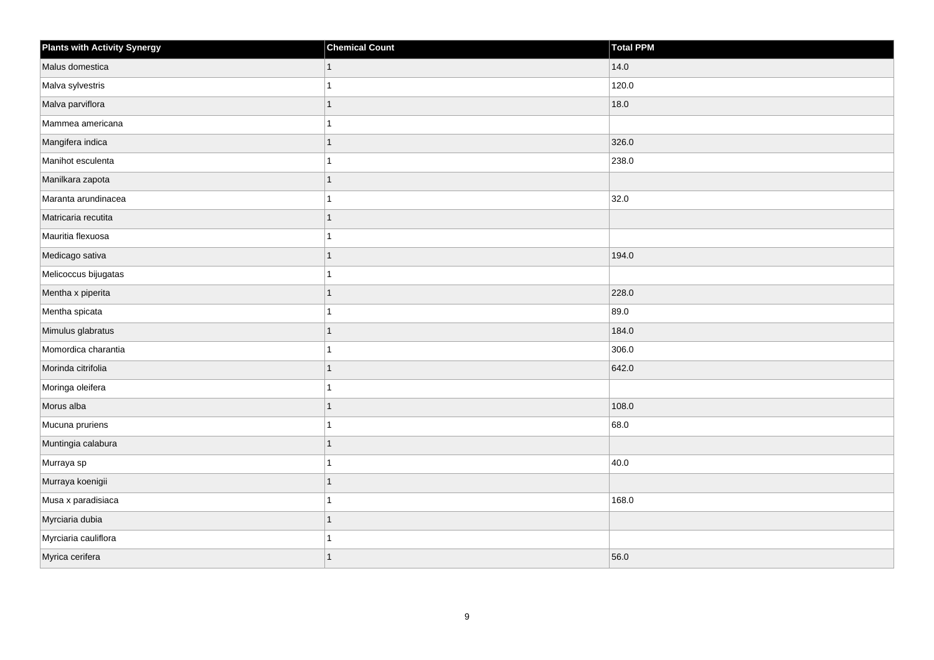| <b>Plants with Activity Synergy</b> | <b>Chemical Count</b> | Total PPM |
|-------------------------------------|-----------------------|-----------|
| Malus domestica                     | $\mathbf{1}$          | 14.0      |
| Malva sylvestris                    | 1                     | 120.0     |
| Malva parviflora                    | $\mathbf{1}$          | 18.0      |
| Mammea americana                    | 1                     |           |
| Mangifera indica                    | 1                     | 326.0     |
| Manihot esculenta                   | 1                     | 238.0     |
| Manilkara zapota                    | $\mathbf{1}$          |           |
| Maranta arundinacea                 | 1                     | 32.0      |
| Matricaria recutita                 | $\mathbf{1}$          |           |
| Mauritia flexuosa                   | 1                     |           |
| Medicago sativa                     | 1                     | 194.0     |
| Melicoccus bijugatas                | 1                     |           |
| Mentha x piperita                   | $\mathbf{1}$          | 228.0     |
| Mentha spicata                      | 1                     | 89.0      |
| Mimulus glabratus                   | $\mathbf{1}$          | 184.0     |
| Momordica charantia                 | 1                     | 306.0     |
| Morinda citrifolia                  | 1                     | 642.0     |
| Moringa oleifera                    | 1                     |           |
| Morus alba                          | $\mathbf{1}$          | 108.0     |
| Mucuna pruriens                     | 1                     | 68.0      |
| Muntingia calabura                  | $\mathbf{1}$          |           |
| Murraya sp                          | $\mathbf{1}$          | 40.0      |
| Murraya koenigii                    | 1                     |           |
| Musa x paradisiaca                  | 1                     | 168.0     |
| Myrciaria dubia                     | $\mathbf{1}$          |           |
| Myrciaria cauliflora                | 1                     |           |
| Myrica cerifera                     | $\overline{1}$        | 56.0      |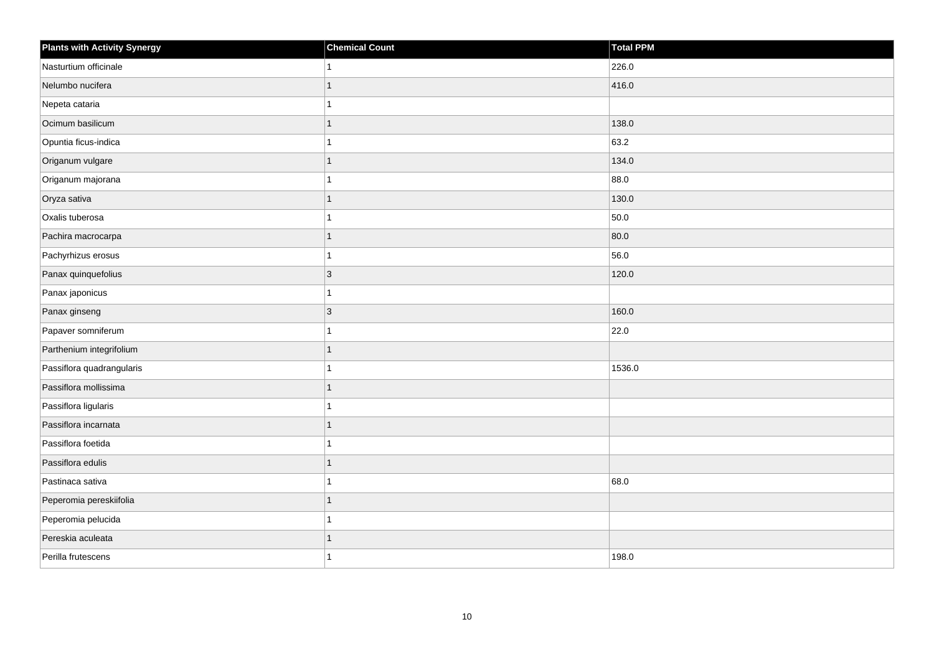| <b>Plants with Activity Synergy</b> | <b>Chemical Count</b> | Total PPM |
|-------------------------------------|-----------------------|-----------|
| Nasturtium officinale               |                       | 226.0     |
| Nelumbo nucifera                    | 1                     | 416.0     |
| Nepeta cataria                      | 1                     |           |
| Ocimum basilicum                    | 1                     | 138.0     |
| Opuntia ficus-indica                | 1                     | 63.2      |
| Origanum vulgare                    | 1                     | 134.0     |
| Origanum majorana                   | 1                     | 88.0      |
| Oryza sativa                        | 1                     | 130.0     |
| Oxalis tuberosa                     | 1                     | 50.0      |
| Pachira macrocarpa                  | 1                     | 80.0      |
| Pachyrhizus erosus                  | 1                     | 56.0      |
| Panax quinquefolius                 | 3                     | 120.0     |
| Panax japonicus                     | 1                     |           |
| Panax ginseng                       | 3                     | 160.0     |
| Papaver somniferum                  | 1                     | 22.0      |
| Parthenium integrifolium            | 1                     |           |
| Passiflora quadrangularis           | 1                     | 1536.0    |
| Passiflora mollissima               | 1                     |           |
| Passiflora ligularis                | 1                     |           |
| Passiflora incarnata                | 1                     |           |
| Passiflora foetida                  | 1                     |           |
| Passiflora edulis                   | 1                     |           |
| Pastinaca sativa                    |                       | 68.0      |
| Peperomia pereskiifolia             | 1                     |           |
| Peperomia pelucida                  | 1                     |           |
| Pereskia aculeata                   | 1                     |           |
| Perilla frutescens                  | 1                     | 198.0     |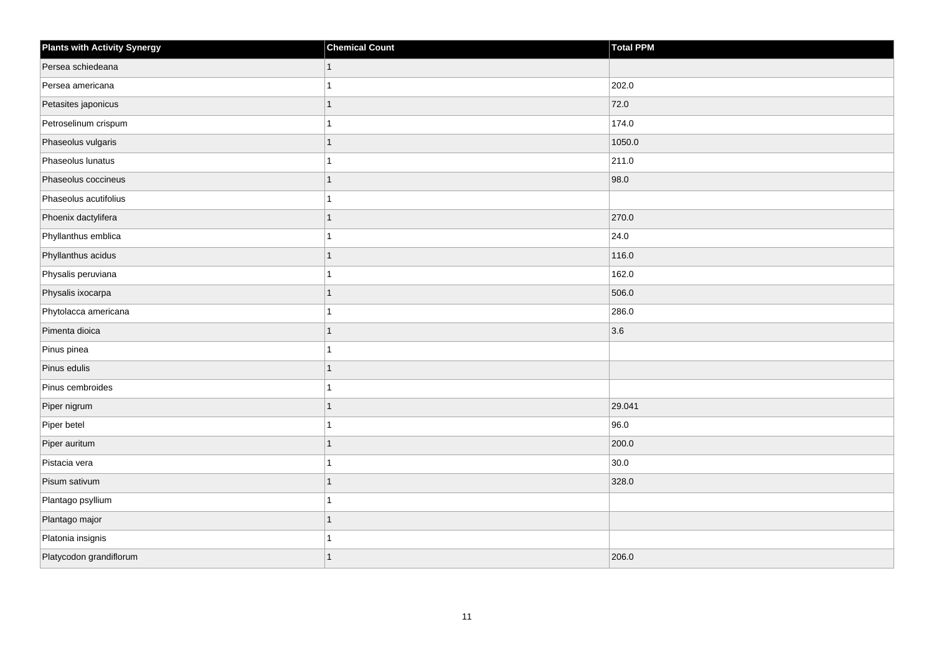| <b>Plants with Activity Synergy</b> | <b>Chemical Count</b> | Total PPM |
|-------------------------------------|-----------------------|-----------|
| Persea schiedeana                   | $\mathbf{1}$          |           |
| Persea americana                    |                       | 202.0     |
| Petasites japonicus                 | 1                     | 72.0      |
| Petroselinum crispum                |                       | 174.0     |
| Phaseolus vulgaris                  | 1                     | 1050.0    |
| Phaseolus lunatus                   | 1                     | 211.0     |
| Phaseolus coccineus                 | 1                     | 98.0      |
| Phaseolus acutifolius               |                       |           |
| Phoenix dactylifera                 | 1                     | 270.0     |
| Phyllanthus emblica                 |                       | 24.0      |
| Phyllanthus acidus                  | 1                     | 116.0     |
| Physalis peruviana                  | 1                     | 162.0     |
| Physalis ixocarpa                   | $\mathbf{1}$          | 506.0     |
| Phytolacca americana                |                       | 286.0     |
| Pimenta dioica                      | 1                     | 3.6       |
| Pinus pinea                         | 1                     |           |
| Pinus edulis                        | 1                     |           |
| Pinus cembroides                    | 1                     |           |
| Piper nigrum                        | $\mathbf{1}$          | 29.041    |
| Piper betel                         | 1                     | 96.0      |
| Piper auritum                       | 1                     | 200.0     |
| Pistacia vera                       | 1                     | 30.0      |
| Pisum sativum                       | 1                     | 328.0     |
| Plantago psyllium                   | 1                     |           |
| Plantago major                      | $\mathbf{1}$          |           |
| Platonia insignis                   |                       |           |
| Platycodon grandiflorum             | 1                     | 206.0     |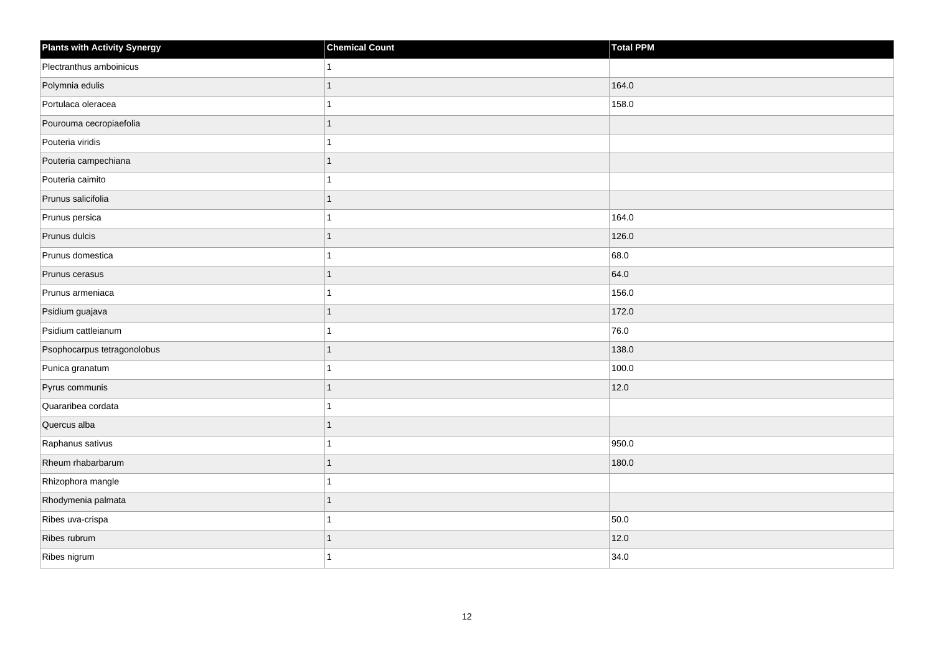| <b>Plants with Activity Synergy</b> | <b>Chemical Count</b> | Total PPM |
|-------------------------------------|-----------------------|-----------|
| Plectranthus amboinicus             |                       |           |
| Polymnia edulis                     |                       | 164.0     |
| Portulaca oleracea                  |                       | 158.0     |
| Pourouma cecropiaefolia             |                       |           |
| Pouteria viridis                    |                       |           |
| Pouteria campechiana                |                       |           |
| Pouteria caimito                    |                       |           |
| Prunus salicifolia                  | 1                     |           |
| Prunus persica                      |                       | 164.0     |
| Prunus dulcis                       | 1                     | 126.0     |
| Prunus domestica                    |                       | 68.0      |
| Prunus cerasus                      |                       | 64.0      |
| Prunus armeniaca                    |                       | 156.0     |
| Psidium guajava                     | 1                     | 172.0     |
| Psidium cattleianum                 |                       | 76.0      |
| Psophocarpus tetragonolobus         | 1                     | 138.0     |
| Punica granatum                     |                       | 100.0     |
| Pyrus communis                      |                       | 12.0      |
| Quararibea cordata                  |                       |           |
| Quercus alba                        |                       |           |
| Raphanus sativus                    |                       | 950.0     |
| Rheum rhabarbarum                   | 1                     | 180.0     |
| Rhizophora mangle                   |                       |           |
| Rhodymenia palmata                  |                       |           |
| Ribes uva-crispa                    |                       | 50.0      |
| Ribes rubrum                        |                       | 12.0      |
| Ribes nigrum                        |                       | 34.0      |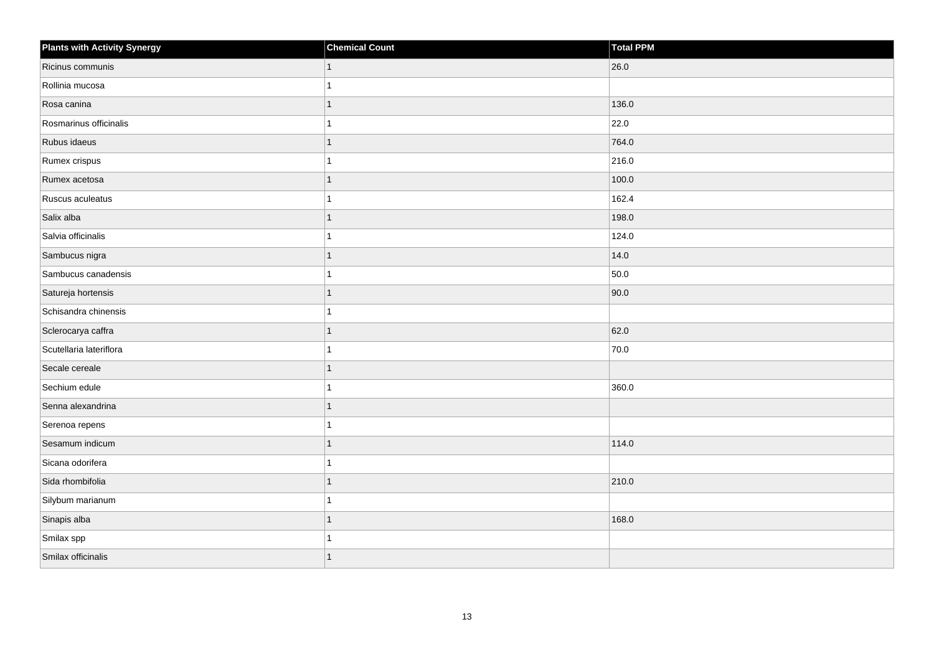| <b>Plants with Activity Synergy</b> | <b>Chemical Count</b> | Total PPM |
|-------------------------------------|-----------------------|-----------|
| Ricinus communis                    | $\vert$ 1             | 26.0      |
| Rollinia mucosa                     |                       |           |
| Rosa canina                         |                       | 136.0     |
| Rosmarinus officinalis              |                       | 22.0      |
| Rubus idaeus                        |                       | 764.0     |
| Rumex crispus                       |                       | 216.0     |
| Rumex acetosa                       | 1                     | 100.0     |
| Ruscus aculeatus                    |                       | 162.4     |
| Salix alba                          |                       | 198.0     |
| Salvia officinalis                  |                       | 124.0     |
| Sambucus nigra                      | 1                     | 14.0      |
| Sambucus canadensis                 |                       | 50.0      |
| Satureja hortensis                  | 1                     | 90.0      |
| Schisandra chinensis                |                       |           |
| Sclerocarya caffra                  |                       | 62.0      |
| Scutellaria lateriflora             |                       | 70.0      |
| Secale cereale                      | 1                     |           |
| Sechium edule                       |                       | 360.0     |
| Senna alexandrina                   | 1                     |           |
| Serenoa repens                      |                       |           |
| Sesamum indicum                     |                       | 114.0     |
| Sicana odorifera                    |                       |           |
| Sida rhombifolia                    | 1                     | 210.0     |
| Silybum marianum                    |                       |           |
| Sinapis alba                        | 1                     | 168.0     |
| Smilax spp                          |                       |           |
| Smilax officinalis                  |                       |           |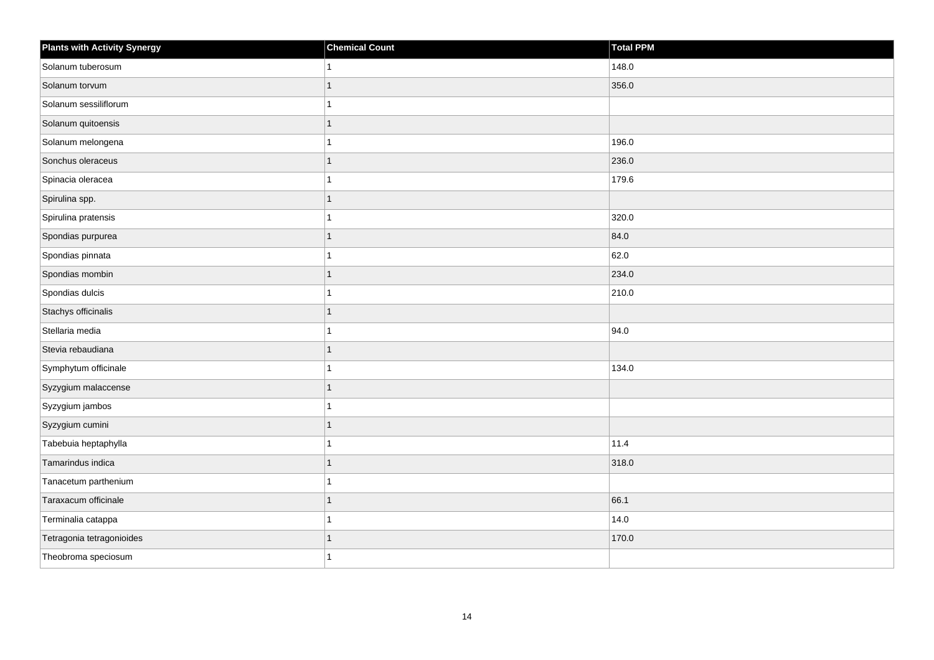| <b>Plants with Activity Synergy</b> | <b>Chemical Count</b> | <b>Total PPM</b> |
|-------------------------------------|-----------------------|------------------|
| Solanum tuberosum                   | 1                     | 148.0            |
| Solanum torvum                      | 1                     | 356.0            |
| Solanum sessiliflorum               | 1                     |                  |
| Solanum quitoensis                  | $\mathbf{1}$          |                  |
| Solanum melongena                   | 1                     | 196.0            |
| Sonchus oleraceus                   | $\mathbf{1}$          | 236.0            |
| Spinacia oleracea                   | $\mathbf{1}$          | 179.6            |
| Spirulina spp.                      | 1                     |                  |
| Spirulina pratensis                 | 1                     | 320.0            |
| Spondias purpurea                   | $\overline{1}$        | 84.0             |
| Spondias pinnata                    | 1                     | 62.0             |
| Spondias mombin                     | 1                     | 234.0            |
| Spondias dulcis                     | $\mathbf{1}$          | 210.0            |
| Stachys officinalis                 | 1                     |                  |
| Stellaria media                     | 1                     | 94.0             |
| Stevia rebaudiana                   | $\mathbf{1}$          |                  |
| Symphytum officinale                | 1                     | 134.0            |
| Syzygium malaccense                 | 1                     |                  |
| Syzygium jambos                     | 1                     |                  |
| Syzygium cumini                     | 1                     |                  |
| Tabebuia heptaphylla                | 1                     | 11.4             |
| Tamarindus indica                   | $\mathbf{1}$          | 318.0            |
| Tanacetum parthenium                |                       |                  |
| Taraxacum officinale                | 1                     | 66.1             |
| Terminalia catappa                  | $\mathbf{1}$          | 14.0             |
| Tetragonia tetragonioides           |                       | 170.0            |
| Theobroma speciosum                 | 1                     |                  |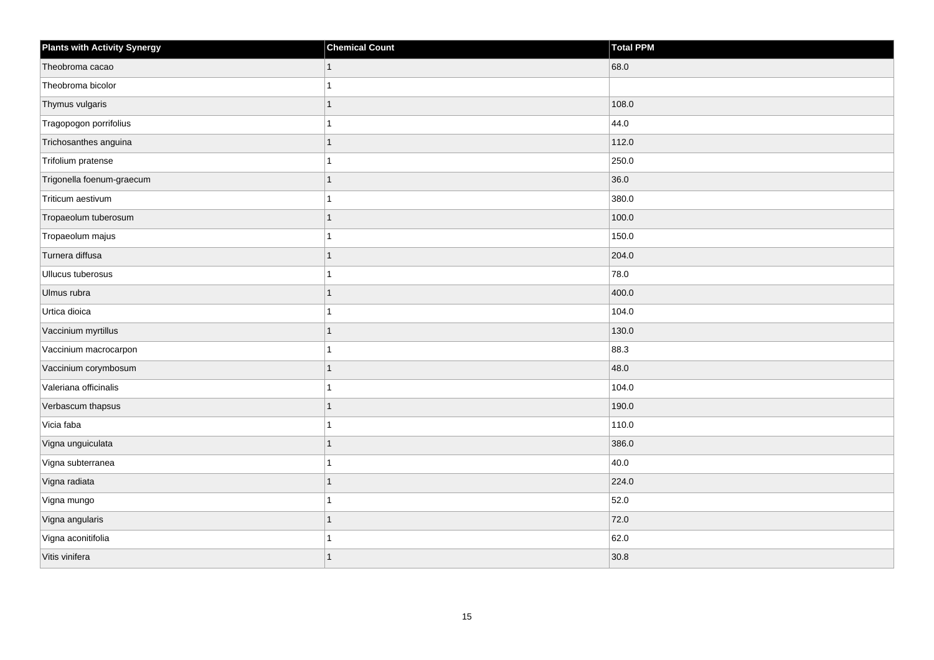| <b>Plants with Activity Synergy</b> | <b>Chemical Count</b> | Total PPM |
|-------------------------------------|-----------------------|-----------|
| Theobroma cacao                     | 1                     | 68.0      |
| Theobroma bicolor                   |                       |           |
| Thymus vulgaris                     | 1                     | 108.0     |
| Tragopogon porrifolius              | 1                     | 44.0      |
| Trichosanthes anguina               | 1                     | 112.0     |
| Trifolium pratense                  | 1                     | 250.0     |
| Trigonella foenum-graecum           | 1                     | 36.0      |
| Triticum aestivum                   | 1                     | 380.0     |
| Tropaeolum tuberosum                | 1                     | 100.0     |
| Tropaeolum majus                    | 1                     | 150.0     |
| Turnera diffusa                     | 1                     | 204.0     |
| Ullucus tuberosus                   | 1                     | 78.0      |
| Ulmus rubra                         | 1                     | 400.0     |
| Urtica dioica                       | 1                     | 104.0     |
| Vaccinium myrtillus                 | 1                     | 130.0     |
| Vaccinium macrocarpon               | 1                     | 88.3      |
| Vaccinium corymbosum                | 1                     | 48.0      |
| Valeriana officinalis               | 1                     | 104.0     |
| Verbascum thapsus                   | 1                     | 190.0     |
| Vicia faba                          |                       | 110.0     |
| Vigna unguiculata                   | 1                     | 386.0     |
| Vigna subterranea                   | 1                     | 40.0      |
| Vigna radiata                       | 1                     | 224.0     |
| Vigna mungo                         | 1                     | 52.0      |
| Vigna angularis                     | 1                     | 72.0      |
| Vigna aconitifolia                  |                       | 62.0      |
| Vitis vinifera                      | 1                     | 30.8      |